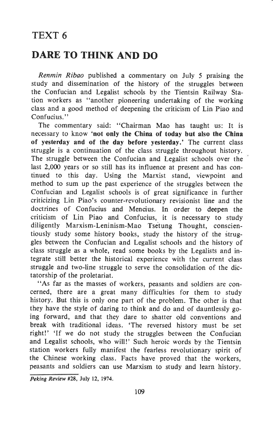## TEXT 6

## DARE TO THINK AND DO

Renmin Ribao published a commentary on July 5 praising the study and dissemination of the history of the struggles between the Confucian and Legalist schools by the Tientsin Railway Station workers as "another pioneering undertaking of the working class and a good method of deepening the criticism of Lin Piao and Confucius."

The commentary said: "Chairman Mao has taught us: It is necessary to know 'not only the China of today but also the China of yesterday and of the day before yesterday.' The current class struggle is a continuation of the class struggle throughout history. The struggle between the Confucian and Legalist schools over the last 2,000 years or so still has its influence at present and has continued to this day. Using the Marxist stand, viewpoint and method to sum up the past experience of the struggles between the Confucian and Legalist schools is of great significance in further criticizing Lin Piao's counter-revolutionary revisionist line and the doctrines of Confucius and Mencius. In order to deepen the criticism of Lin Piao and Confucius, it is necessary to study diligently Marxism-Leninism-Mao Tsetung Thought, conscientiously study some history books, study the history of the struggles between the Confucian and Legalist schools and the history of class struggle as a whole, read some books by the Legalists and integrate still better the historical experience with the current class struggle and two-line struggle to serve the consolidation of the dictatorship of the proletariat.

"As far as the masses of workers, peasants and soldiers are concerned, there are a great many difficulties for them to study history. But this is only one part of the problem. The other is that they have the style of daring to think and do and of dauntlessly going forward, and that they dare to shatter old conventions and break with traditional ideas. 'The reversed history must be set right!' 'If we do not study the struggles between the Confucian and Legalist schools, who will!' Such heroic words by the Tientsin station workers fully manifest the fearless revolutionary spirit of the Chinese working class. Facts have proved that the workers, peasants and soldiers can use Marxism to study and learn history.

Peking Review #28, July 12, i974.